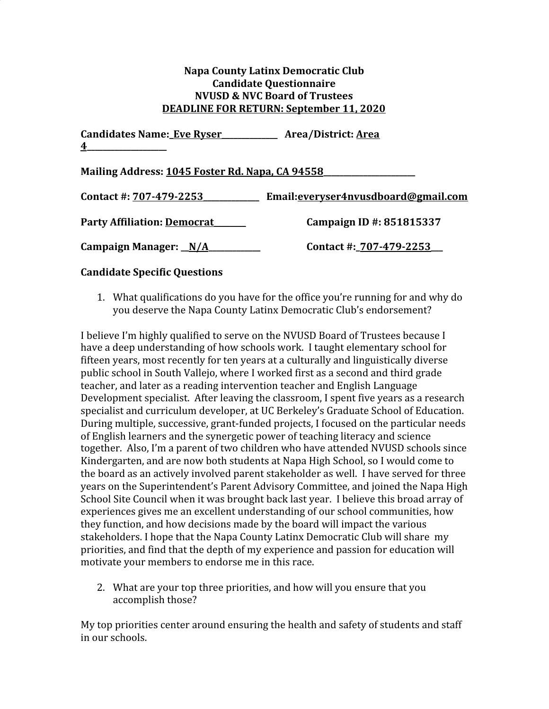## **Napa County Latinx Democratic Club Candidate Questionnaire NVUSD & NVC Board of Trustees DEADLINE FOR RETURN: September 11, 2020**

**Candidates Name:\_Eve Ryser\_\_\_\_\_\_\_\_\_\_\_\_\_\_ Area/District: Area 4\_\_\_\_\_\_\_\_\_\_\_\_\_\_\_\_\_\_\_\_ Mailing Address: 1045 Foster Rd. Napa, CA 94558\_\_\_\_\_\_\_\_\_\_\_\_\_\_\_\_\_\_\_\_\_\_\_ Contact #: 707-479-2253\_\_\_\_\_\_\_\_\_\_\_\_\_\_ Email:everyser4nvusdboard@gmail.com**

**Party Affiliation: Democrat\_\_\_\_\_\_\_\_ Campaign ID #: 851815337 Campaign Manager: \_\_N/A\_\_\_\_\_\_\_\_\_\_\_\_\_ Contact #:\_707-479-2253\_\_\_**

## **Candidate Specific Questions**

1. What qualifications do you have for the office you're running for and why do you deserve the Napa County Latinx Democratic Club's endorsement?

I believe I'm highly qualified to serve on the NVUSD Board of Trustees because I have a deep understanding of how schools work. I taught elementary school for fifteen years, most recently for ten years at a culturally and linguistically diverse public school in South Vallejo, where I worked first as a second and third grade teacher, and later as a reading intervention teacher and English Language Development specialist. After leaving the classroom, I spent five years as a research specialist and curriculum developer, at UC Berkeley's Graduate School of Education. During multiple, successive, grant-funded projects, I focused on the particular needs of English learners and the synergetic power of teaching literacy and science together. Also, I'm a parent of two children who have attended NVUSD schools since Kindergarten, and are now both students at Napa High School, so I would come to the board as an actively involved parent stakeholder as well. I have served for three years on the Superintendent's Parent Advisory Committee, and joined the Napa High School Site Council when it was brought back last year. I believe this broad array of experiences gives me an excellent understanding of our school communities, how they function, and how decisions made by the board will impact the various stakeholders. I hope that the Napa County Latinx Democratic Club will share my priorities, and find that the depth of my experience and passion for education will motivate your members to endorse me in this race.

2. What are your top three priorities, and how will you ensure that you accomplish those?

My top priorities center around ensuring the health and safety of students and staff in our schools.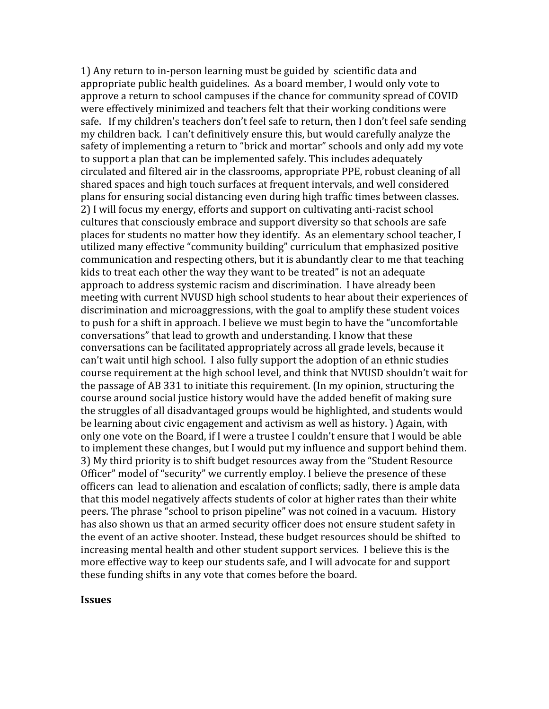1) Any return to in-person learning must be guided by scientific data and appropriate public health guidelines. As a board member, I would only vote to approve a return to school campuses if the chance for community spread of COVID were effectively minimized and teachers felt that their working conditions were safe. If my children's teachers don't feel safe to return, then I don't feel safe sending my children back. I can't definitively ensure this, but would carefully analyze the safety of implementing a return to "brick and mortar" schools and only add my vote to support a plan that can be implemented safely. This includes adequately circulated and filtered air in the classrooms, appropriate PPE, robust cleaning of all shared spaces and high touch surfaces at frequent intervals, and well considered plans for ensuring social distancing even during high traffic times between classes. 2) I will focus my energy, efforts and support on cultivating anti-racist school cultures that consciously embrace and support diversity so that schools are safe places for students no matter how they identify. As an elementary school teacher, I utilized many effective "community building" curriculum that emphasized positive communication and respecting others, but it is abundantly clear to me that teaching kids to treat each other the way they want to be treated" is not an adequate approach to address systemic racism and discrimination. I have already been meeting with current NVUSD high school students to hear about their experiences of discrimination and microaggressions, with the goal to amplify these student voices to push for a shift in approach. I believe we must begin to have the "uncomfortable conversations" that lead to growth and understanding. I know that these conversations can be facilitated appropriately across all grade levels, because it can't wait until high school. I also fully support the adoption of an ethnic studies course requirement at the high school level, and think that NVUSD shouldn't wait for the passage of AB 331 to initiate this requirement. (In my opinion, structuring the course around social justice history would have the added benefit of making sure the struggles of all disadvantaged groups would be highlighted, and students would be learning about civic engagement and activism as well as history. ) Again, with only one vote on the Board, if I were a trustee I couldn't ensure that I would be able to implement these changes, but I would put my influence and support behind them. 3) My third priority is to shift budget resources away from the "Student Resource Officer" model of "security" we currently employ. I believe the presence of these officers can lead to alienation and escalation of conflicts; sadly, there is ample data that this model negatively affects students of color at higher rates than their white peers. The phrase "school to prison pipeline" was not coined in a vacuum. History has also shown us that an armed security officer does not ensure student safety in the event of an active shooter. Instead, these budget resources should be shifted to increasing mental health and other student support services. I believe this is the more effective way to keep our students safe, and I will advocate for and support these funding shifts in any vote that comes before the board.

## **Issues**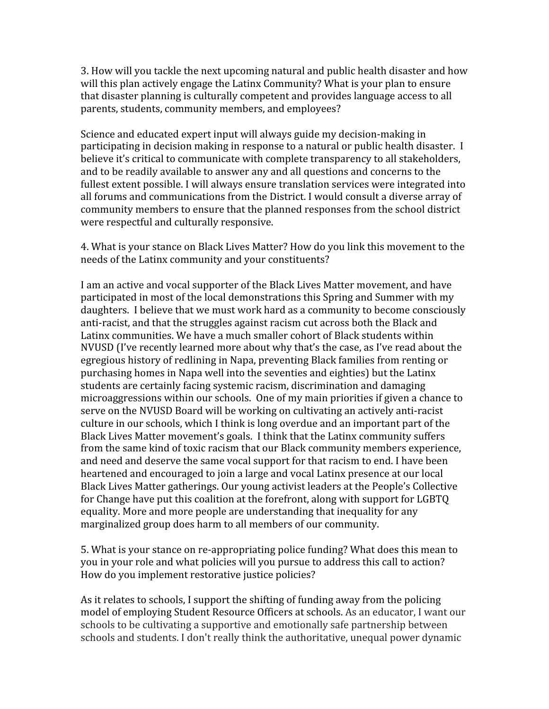3. How will you tackle the next upcoming natural and public health disaster and how will this plan actively engage the Latinx Community? What is your plan to ensure that disaster planning is culturally competent and provides language access to all parents, students, community members, and employees?

Science and educated expert input will always guide my decision-making in participating in decision making in response to a natural or public health disaster. I believe it's critical to communicate with complete transparency to all stakeholders, and to be readily available to answer any and all questions and concerns to the fullest extent possible. I will always ensure translation services were integrated into all forums and communications from the District. I would consult a diverse array of community members to ensure that the planned responses from the school district were respectful and culturally responsive.

4. What is your stance on Black Lives Matter? How do you link this movement to the needs of the Latinx community and your constituents?

I am an active and vocal supporter of the Black Lives Matter movement, and have participated in most of the local demonstrations this Spring and Summer with my daughters. I believe that we must work hard as a community to become consciously anti-racist, and that the struggles against racism cut across both the Black and Latinx communities. We have a much smaller cohort of Black students within NVUSD (I've recently learned more about why that's the case, as I've read about the egregious history of redlining in Napa, preventing Black families from renting or purchasing homes in Napa well into the seventies and eighties) but the Latinx students are certainly facing systemic racism, discrimination and damaging microaggressions within our schools. One of my main priorities if given a chance to serve on the NVUSD Board will be working on cultivating an actively anti-racist culture in our schools, which I think is long overdue and an important part of the Black Lives Matter movement's goals. I think that the Latinx community suffers from the same kind of toxic racism that our Black community members experience, and need and deserve the same vocal support for that racism to end. I have been heartened and encouraged to join a large and vocal Latinx presence at our local Black Lives Matter gatherings. Our young activist leaders at the People's Collective for Change have put this coalition at the forefront, along with support for LGBTQ equality. More and more people are understanding that inequality for any marginalized group does harm to all members of our community.

5. What is your stance on re-appropriating police funding? What does this mean to you in your role and what policies will you pursue to address this call to action? How do you implement restorative justice policies?

As it relates to schools, I support the shifting of funding away from the policing model of employing Student Resource Officers at schools. As an educator, I want our schools to be cultivating a supportive and emotionally safe partnership between schools and students. I don't really think the authoritative, unequal power dynamic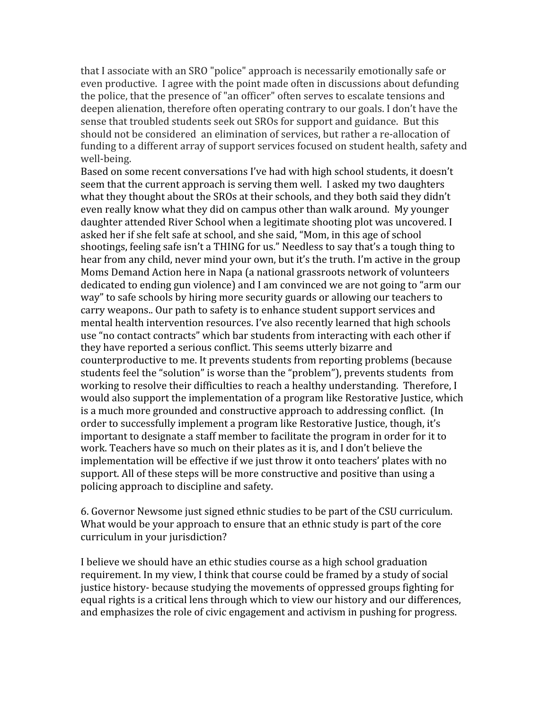that I associate with an SRO "police" approach is necessarily emotionally safe or even productive. I agree with the point made often in discussions about defunding the police, that the presence of "an officer" often serves to escalate tensions and deepen alienation, therefore often operating contrary to our goals. I don't have the sense that troubled students seek out SROs for support and guidance. But this should not be considered an elimination of services, but rather a re-allocation of funding to a different array of support services focused on student health, safety and well-being.

Based on some recent conversations I've had with high school students, it doesn't seem that the current approach is serving them well. I asked my two daughters what they thought about the SROs at their schools, and they both said they didn't even really know what they did on campus other than walk around. My younger daughter attended River School when a legitimate shooting plot was uncovered. I asked her if she felt safe at school, and she said, "Mom, in this age of school shootings, feeling safe isn't a THING for us." Needless to say that's a tough thing to hear from any child, never mind your own, but it's the truth. I'm active in the group Moms Demand Action here in Napa (a national grassroots network of volunteers dedicated to ending gun violence) and I am convinced we are not going to "arm our way" to safe schools by hiring more security guards or allowing our teachers to carry weapons.. Our path to safety is to enhance student support services and mental health intervention resources. I've also recently learned that high schools use "no contact contracts" which bar students from interacting with each other if they have reported a serious conflict. This seems utterly bizarre and counterproductive to me. It prevents students from reporting problems (because students feel the "solution" is worse than the "problem"), prevents students from working to resolve their difficulties to reach a healthy understanding. Therefore, I would also support the implementation of a program like Restorative Justice, which is a much more grounded and constructive approach to addressing conflict. (In order to successfully implement a program like Restorative Justice, though, it's important to designate a staff member to facilitate the program in order for it to work. Teachers have so much on their plates as it is, and I don't believe the implementation will be effective if we just throw it onto teachers' plates with no support. All of these steps will be more constructive and positive than using a policing approach to discipline and safety.

6. Governor Newsome just signed ethnic studies to be part of the CSU curriculum. What would be your approach to ensure that an ethnic study is part of the core curriculum in your jurisdiction?

I believe we should have an ethic studies course as a high school graduation requirement. In my view, I think that course could be framed by a study of social justice history- because studying the movements of oppressed groups fighting for equal rights is a critical lens through which to view our history and our differences, and emphasizes the role of civic engagement and activism in pushing for progress.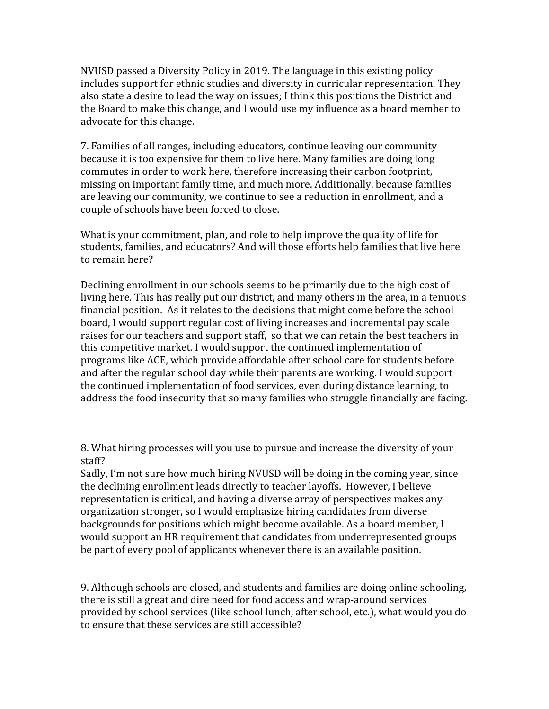NVUSD passed a Diversity Policy in 2019. The language in this existing policy includes support for ethnic studies and diversity in curricular representation. They also state a desire to lead the way on issues; I think this positions the District and the Board to make this change, and I would use my influence as a board member to advocate for this change.

7. Families of all ranges, including educators, continue leaving our community because it is too expensive for them to live here. Many families are doing long commutes in order to work here, therefore increasing their carbon footprint, missing on important family time, and much more. Additionally, because families are leaving our community, we continue to see a reduction in enrollment, and a couple of schools have been forced to close.

What is your commitment, plan, and role to help improve the quality of life for students, families, and educators? And will those efforts help families that live here to remain here?

Declining enrollment in our schools seems to be primarily due to the high cost of living here. This has really put our district, and many others in the area, in a tenuous financial position. As it relates to the decisions that might come before the school board, I would support regular cost of living increases and incremental pay scale raises for our teachers and support staff, so that we can retain the best teachers in this competitive market. I would support the continued implementation of programs like ACE, which provide affordable after school care for students before and after the regular school day while their parents are working. I would support the continued implementation of food services, even during distance learning, to address the food insecurity that so many families who struggle financially are facing.

8. What hiring processes will you use to pursue and increase the diversity of your staff?

Sadly, I'm not sure how much hiring NVUSD will be doing in the coming year, since the declining enrollment leads directly to teacher layoffs. However, I believe representation is critical, and having a diverse array of perspectives makes any organization stronger, so I would emphasize hiring candidates from diverse backgrounds for positions which might become available. As a board member, I would support an HR requirement that candidates from underrepresented groups be part of every pool of applicants whenever there is an available position.

9. Although schools are closed, and students and families are doing online schooling, there is still a great and dire need for food access and wrap-around services provided by school services (like school lunch, after school, etc.), what would you do to ensure that these services are still accessible?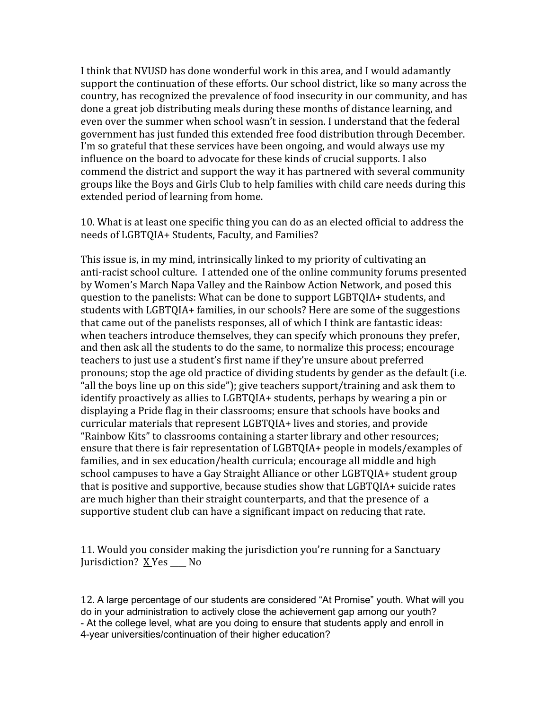I think that NVUSD has done wonderful work in this area, and I would adamantly support the continuation of these efforts. Our school district, like so many across the country, has recognized the prevalence of food insecurity in our community, and has done a great job distributing meals during these months of distance learning, and even over the summer when school wasn't in session. I understand that the federal government has just funded this extended free food distribution through December. I'm so grateful that these services have been ongoing, and would always use my influence on the board to advocate for these kinds of crucial supports. I also commend the district and support the way it has partnered with several community groups like the Boys and Girls Club to help families with child care needs during this extended period of learning from home.

10. What is at least one specific thing you can do as an elected official to address the needs of LGBTQIA+ Students, Faculty, and Families?

This issue is, in my mind, intrinsically linked to my priority of cultivating an anti-racist school culture. I attended one of the online community forums presented by Women's March Napa Valley and the Rainbow Action Network, and posed this question to the panelists: What can be done to support LGBTQIA+ students, and students with LGBTQIA+ families, in our schools? Here are some of the suggestions that came out of the panelists responses, all of which I think are fantastic ideas: when teachers introduce themselves, they can specify which pronouns they prefer, and then ask all the students to do the same, to normalize this process; encourage teachers to just use a student's first name if they're unsure about preferred pronouns; stop the age old practice of dividing students by gender as the default (i.e. "all the boys line up on this side"); give teachers support/training and ask them to identify proactively as allies to LGBTQIA+ students, perhaps by wearing a pin or displaying a Pride flag in their classrooms; ensure that schools have books and curricular materials that represent LGBTQIA+ lives and stories, and provide "Rainbow Kits" to classrooms containing a starter library and other resources; ensure that there is fair representation of LGBTQIA+ people in models/examples of families, and in sex education/health curricula; encourage all middle and high school campuses to have a Gay Straight Alliance or other LGBTQIA+ student group that is positive and supportive, because studies show that LGBTQIA+ suicide rates are much higher than their straight counterparts, and that the presence of a supportive student club can have a significant impact on reducing that rate.

11. Would you consider making the jurisdiction you're running for a Sanctuary Jurisdiction? X Yes No

12. A large percentage of our students are considered "At Promise" youth. What will you do in your administration to actively close the achievement gap among our youth? - At the college level, what are you doing to ensure that students apply and enroll in 4-year universities/continuation of their higher education?